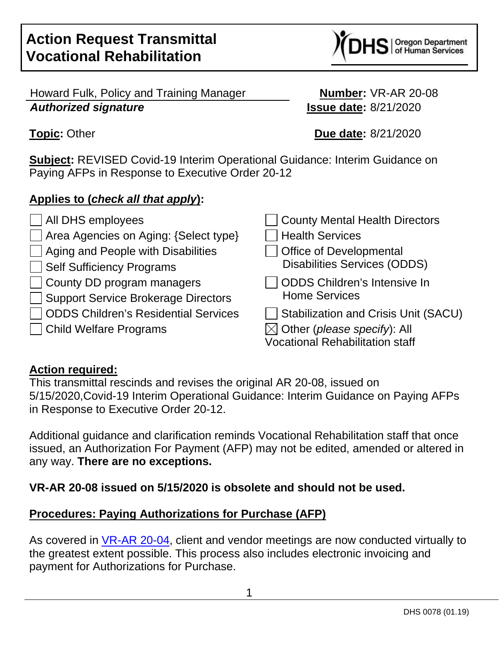Howard Fulk, Policy and Training Manager **Number:** VR-AR 20-08 **Authorized signature Issue date:** 8/21/2020

**Subject:** REVISED Covid-19 Interim Operational Guidance: Interim Guidance on Paying AFPs in Response to Executive Order 20-12

## **Applies to (check all that apply):**

| All DHS employees                           | County Mental Health Directors              |
|---------------------------------------------|---------------------------------------------|
| Area Agencies on Aging: {Select type}       | <b>Health Services</b>                      |
| Aging and People with Disabilities          | <b>Office of Developmental</b>              |
| <b>Self Sufficiency Programs</b>            | <b>Disabilities Services (ODDS)</b>         |
| County DD program managers                  | <b>ODDS Children's Intensive In</b>         |
| <b>Support Service Brokerage Directors</b>  | <b>Home Services</b>                        |
| <b>ODDS Children's Residential Services</b> | <b>Stabilization and Crisis Unit (SACU)</b> |
| $\Box$ Child Welfare Programs               | $\boxtimes$ Other (please specify): All     |
|                                             | <b>Vocational Rehabilitation staff</b>      |

#### **Action required:**

This transmittal rescinds and revises the original AR 20-08, issued on 5/15/2020,Covid-19 Interim Operational Guidance: Interim Guidance on Paying AFPs in Response to Executive Order 20-12.

Additional guidance and clarification reminds Vocational Rehabilitation staff that once issued, an Authorization For Payment (AFP) may not be edited, amended or altered in any way. **There are no exceptions.**

**VR-AR 20-08 issued on 5/15/2020 is obsolete and should not be used.**

# **Procedures: Paying Authorizations for Purchase (AFP)**

As covered in VR-AR 20-04, client and vendor meetings are now conducted virtually to the greatest extent possible. This process also includes electronic invoicing and payment for Authorizations for Purchase.



**Topic:** Other **Due date:** 8/21/2020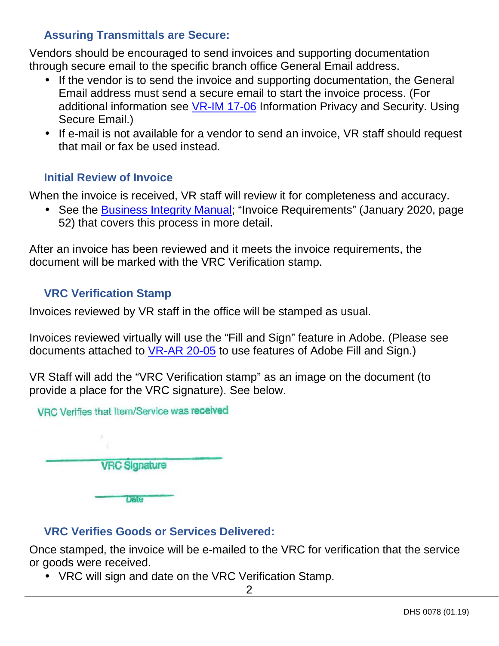### **Assuring Transmittals are Secure:**

Vendors should be encouraged to send invoices and supporting documentation through secure email to the specific branch office General Email address.

- If the vendor is to send the invoice and supporting documentation, the General Email address must send a secure email to start the invoice process. (For additional information see VR-IM 17-06 Information Privacy and Security. Using Secure Email.)
- If e-mail is not available for a vendor to send an invoice, VR staff should request that mail or fax be used instead.

#### **Initial Review of Invoice**

When the invoice is received, VR staff will review it for completeness and accuracy.

• See the Business Integrity Manual; "Invoice Requirements" (January 2020, page 52) that covers this process in more detail.

After an invoice has been reviewed and it meets the invoice requirements, the document will be marked with the VRC Verification stamp.

#### **VRC Verification Stamp**

Invoices reviewed by VR staff in the office will be stamped as usual.

Invoices reviewed virtually will use the "Fill and Sign" feature in Adobe. (Please see documents attached to VR-AR 20-05 to use features of Adobe Fill and Sign.)

VR Staff will add the "VRC Verification stamp" as an image on the document (to provide a place for the VRC signature). See below.



### **VRC Verifies Goods or Services Delivered:**

Once stamped, the invoice will be e-mailed to the VRC for verification that the service or goods were received.

• VRC will sign and date on the VRC Verification Stamp.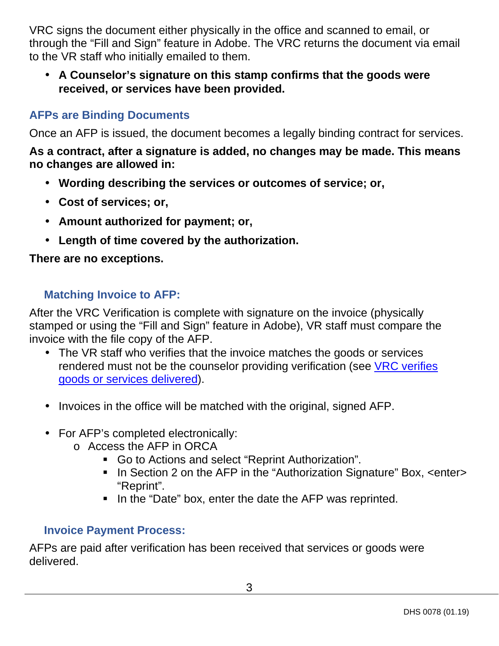VRC signs the document either physically in the office and scanned to email, or through the "Fill and Sign" feature in Adobe. The VRC returns the document via email to the VR staff who initially emailed to them.

• **A Counselor's signature on this stamp confirms that the goods were received, or services have been provided.** 

### **AFPs are Binding Documents**

Once an AFP is issued, the document becomes a legally binding contract for services.

#### **As a contract, after a signature is added, no changes may be made. This means no changes are allowed in:**

- **Wording describing the services or outcomes of service; or,**
- **Cost of services; or,**
- **Amount authorized for payment; or,**
- **Length of time covered by the authorization.**

### **There are no exceptions.**

### **Matching Invoice to AFP:**

After the VRC Verification is complete with signature on the invoice (physically stamped or using the "Fill and Sign" feature in Adobe), VR staff must compare the invoice with the file copy of the AFP.

- The VR staff who verifies that the invoice matches the goods or services rendered must not be the counselor providing verification (see VRC verifies goods or services delivered).
- Invoices in the office will be matched with the original, signed AFP.
- For AFP's completed electronically:
	- o Access the AFP in ORCA
		- Go to Actions and select "Reprint Authorization".
		- In Section 2 on the AFP in the "Authorization Signature" Box, <enter> "Reprint".
		- In the "Date" box, enter the date the AFP was reprinted.

### **Invoice Payment Process:**

AFPs are paid after verification has been received that services or goods were delivered.